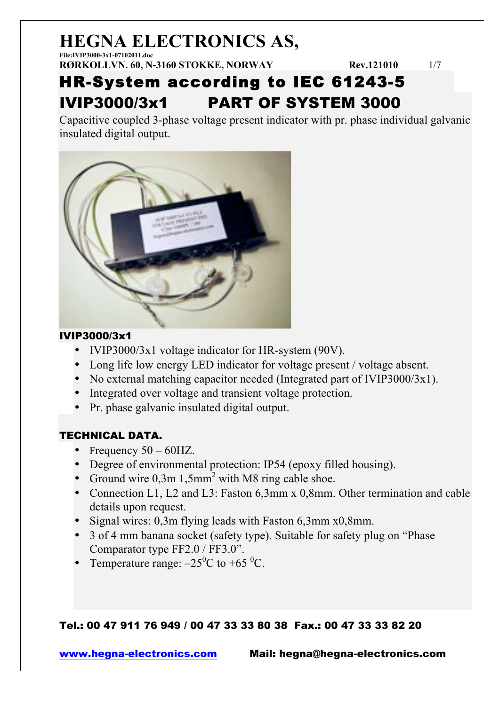**File:IVIP3000-3x1-07102011.doc RØRKOLLVN. 60, N-3160 STOKKE, NORWAY Rev.121010** 1/7

### HR-System according to IEC 61243-5 IVIP3000/3x1 PART OF SYSTEM 3000

Capacitive coupled 3-phase voltage present indicator with pr. phase individual galvanic insulated digital output.



#### IVIP3000/3x1

- IVIP3000/3x1 voltage indicator for HR-system (90V).
- Long life low energy LED indicator for voltage present / voltage absent.
- No external matching capacitor needed (Integrated part of IVIP3000/3x1).
- Integrated over voltage and transient voltage protection.
- Pr. phase galvanic insulated digital output.

### TECHNICAL DATA.

- Frequency  $50 60$ HZ.
- Degree of environmental protection: IP54 (epoxy filled housing).
- Ground wire  $0.3m 1.5mm^2$  with M8 ring cable shoe.
- Connection L1, L2 and L3: Faston 6,3mm x 0,8mm. Other termination and cable details upon request.
- Signal wires: 0,3m flying leads with Faston 6,3mm x0,8mm.
- 3 of 4 mm banana socket (safety type). Suitable for safety plug on "Phase Comparator type FF2.0 / FF3.0".
- Temperature range:  $-25^{\circ}$ C to +65  $^{\circ}$ C.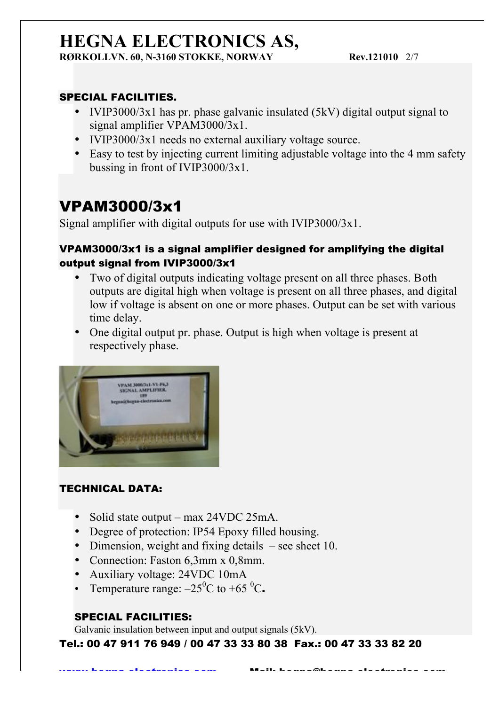**RØRKOLLVN. 60, N-3160 STOKKE, NORWAY Rev.121010 2/7** 

### SPECIAL FACILITIES.

- IVIP3000/3x1 has pr. phase galvanic insulated (5kV) digital output signal to signal amplifier VPAM3000/3x1.
- IVIP3000/3x1 needs no external auxiliary voltage source.
- Easy to test by injecting current limiting adjustable voltage into the 4 mm safety bussing in front of IVIP3000/3x1.

### VPAM3000/3x1

Signal amplifier with digital outputs for use with IVIP3000/3x1.

### VPAM3000/3x1 is a signal amplifier designed for amplifying the digital output signal from IVIP3000/3x1

- Two of digital outputs indicating voltage present on all three phases. Both outputs are digital high when voltage is present on all three phases, and digital low if voltage is absent on one or more phases. Output can be set with various time delay.
- One digital output pr. phase. Output is high when voltage is present at respectively phase.



### TECHNICAL DATA:

- Solid state output max 24VDC 25mA.
- Degree of protection: IP54 Epoxy filled housing.
- Dimension, weight and fixing details see sheet 10.
- Connection: Faston 6,3mm x 0,8mm.
- Auxiliary voltage: 24VDC 10mA
- Temperature range:  $-25^{\circ}$ C to +65  $^{\circ}$ C.

### SPECIAL FACILITIES:

Galvanic insulation between input and output signals (5kV).

Tel.: 00 47 911 76 949 / 00 47 33 33 80 38 Fax.: 00 47 33 33 82 20

www.heans-electronics.com Mail: heane@heans-electronics.com<br>.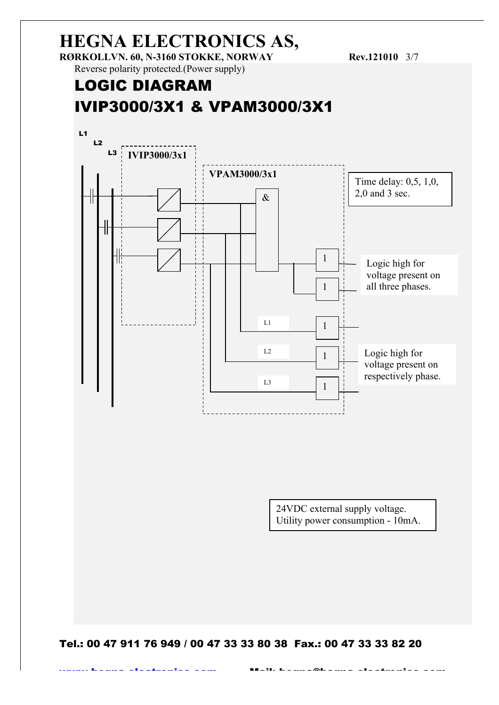**RØRKOLLVN. 60, N-3160 STOKKE, NORWAY Rev.121010 3/7** 

Reverse polarity protected.(Power supply)

### LOGIC DIAGRAM IVIP3000/3X1 & VPAM3000/3X1



24VDC external supply voltage. Utility power consumption - 10mA.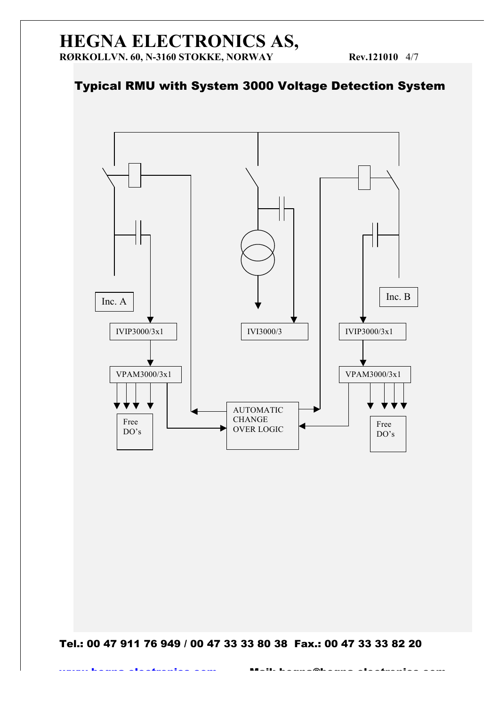### Typical RMU with System 3000 Voltage Detection System

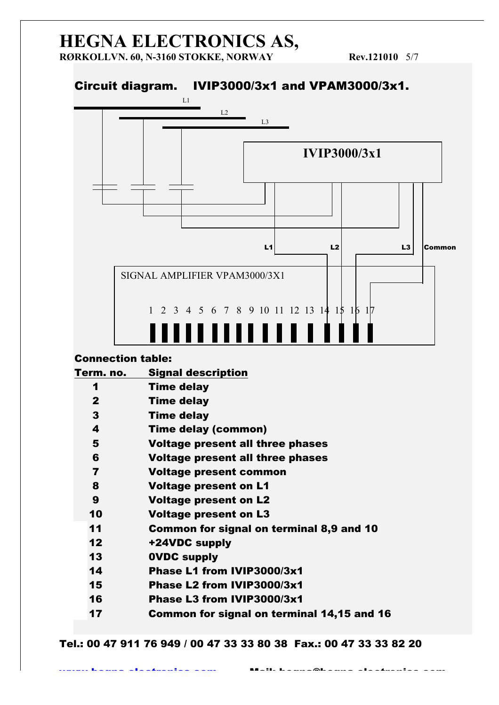**RØRKOLLVN. 60, N-3160 STOKKE, NORWAY Rev.121010 5/7** 

### Circuit diagram. IVIP3000/3x1 and VPAM3000/3x1.



#### Connection table:

| Term. no.               | <b>Signal description</b>                  |
|-------------------------|--------------------------------------------|
| 1                       | <b>Time delay</b>                          |
| $\mathbf{2}$            | <b>Time delay</b>                          |
| 3                       | <b>Time delay</b>                          |
| 4                       | <b>Time delay (common)</b>                 |
| 5                       | <b>Voltage present all three phases</b>    |
| 6                       | <b>Voltage present all three phases</b>    |
| $\overline{\mathbf{z}}$ | <b>Voltage present common</b>              |
| 8                       | <b>Voltage present on L1</b>               |
| 9                       | <b>Voltage present on L2</b>               |
| 10                      | <b>Voltage present on L3</b>               |
| 11                      | Common for signal on terminal 8,9 and 10   |
| 12                      | +24VDC supply                              |
| 13                      | <b>OVDC supply</b>                         |
| 14                      | Phase L1 from IVIP3000/3x1                 |
| 15                      | Phase L2 from IVIP3000/3x1                 |
| 16                      | Phase L3 from IVIP3000/3x1                 |
| 17                      | Common for signal on terminal 14,15 and 16 |
|                         |                                            |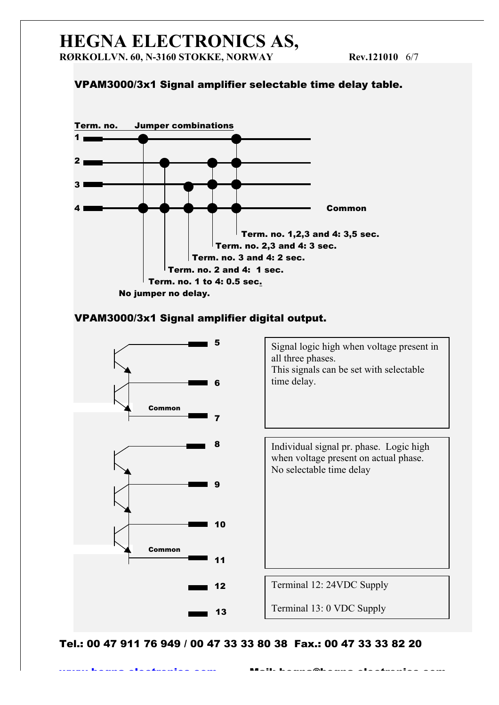#### VPAM3000/3x1 Signal amplifier selectable time delay table.



#### VPAM3000/3x1 Signal amplifier digital output.